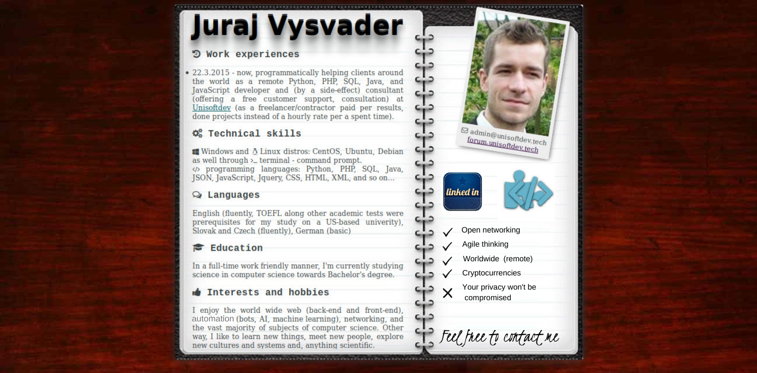### **Juraj Vysvader**

#### D Work experiences

• 22.3.2015 - now, programmatically helping clients around the world as a remote Python, PHP, SQL, Java, and JavaScript developer and (by a side-effect) consultant (offering a free customer support, consultation) at Unisoftdev (as a freelancer/contractor paid per results, done projects instead of a hourly rate per a spent time).

#### **C** Technical skills

■ Windows and A Linux distros: CentOS, Ubuntu, Debian as well through  $\geq$  terminal - command prompt. <br />> programming languages: Python, PHP, SQL, Java, JSON, JavaScript, Jquery, CSS, HTML, XML, and so on...

#### $Q$  Languages

English (fluently, TOEFL along other academic tests were prerequisites for my study on a US-based univerity). Slovak and Czech (fluently), German (basic)

#### Education

In a full-time work friendly manner. I'm currently studying science in computer science towards Bachelor's degree.

#### **Interests and hobbies**

I enjoy the world wide web (back-end and front-end), automation (bots, AI, machine learning), networking, and the vast majority of subjects of computer science. Other way, I like to learn new things, meet new people, explore new cultures and systems and, anything scientific.

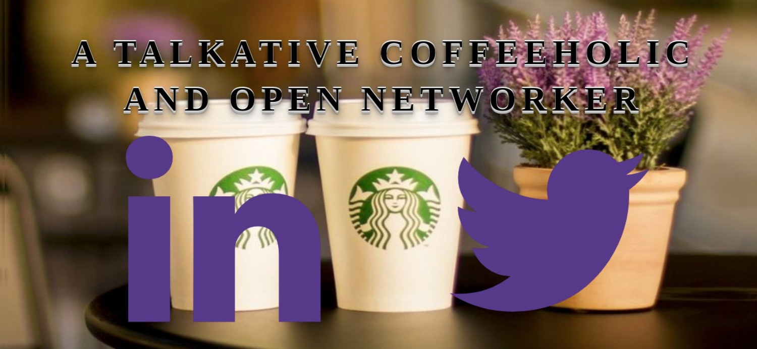## A TALKATIVE COFFEEHOLIC AND OPEN NETWORKER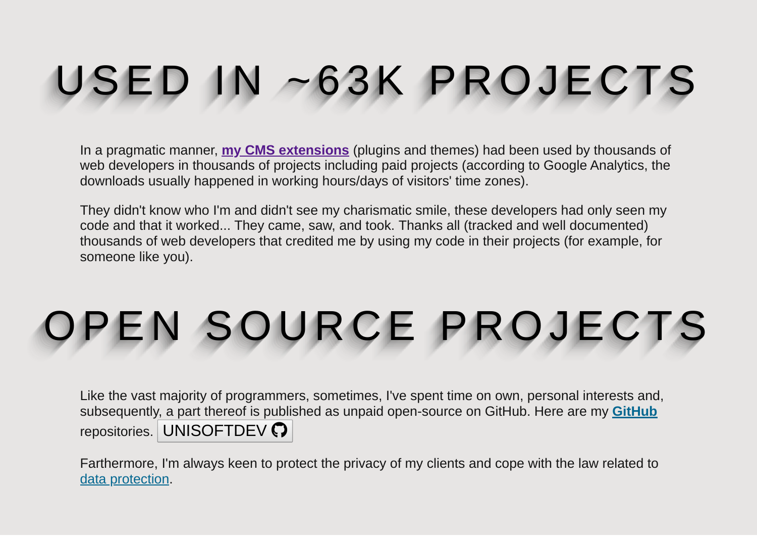# USED IN ~63K PROJECTS

In a pragmatic manner, **[my CMS extensions](https://www.unisoftdev.tech/cms-extensions)** (plugins and themes) had been used by thousands of web developers in thousands of projects including paid projects (according to Google Analytics, the downloads usually happened in working hours/days of visitors' time zones).

They didn't know who I'm and didn't see my charismatic smile, these developers had only seen my code and that it worked... They came, saw, and took. Thanks all (tracked and well documented) thousands of web developers that credited me by using my code in their projects (for example, for someone like you).

## OPEN SOURCE PROJECTS

Like the vast majority of programmers, sometimes, I've spent time on own, personal interests and, subsequently, a part thereof is published as unpaid open-source on GitHub. Here are my **[GitHub](https://github.com/unisoftdev)** repositories. [UNISOFTDEV](https://github.com/unisoftdev) ?

Farthermore, I'm always keen to protect the privacy of my clients and cope with the law related to [data protection](https://www.gov.uk/data-protection).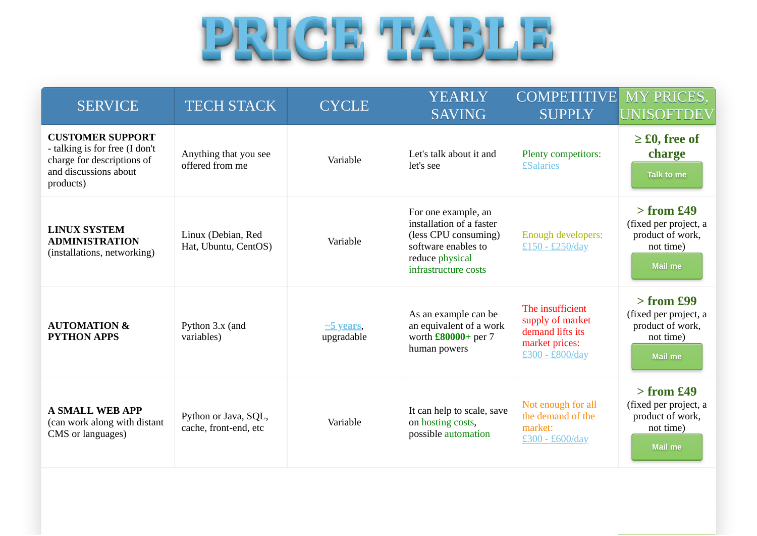

| <b>SERVICE</b>                                                                                                                | <b>TECH STACK</b>                             | <b>CYCLE</b>                  | <b>YEARLY</b><br><b>SAVING</b>                                                                                                            | <b>COMPETITIVE</b><br><b>SUPPLY</b>                                                           | <b>MY PRICES,</b><br>UNISOFTDEV                                                          |
|-------------------------------------------------------------------------------------------------------------------------------|-----------------------------------------------|-------------------------------|-------------------------------------------------------------------------------------------------------------------------------------------|-----------------------------------------------------------------------------------------------|------------------------------------------------------------------------------------------|
| <b>CUSTOMER SUPPORT</b><br>- talking is for free (I don't<br>charge for descriptions of<br>and discussions about<br>products) | Anything that you see<br>offered from me      | Variable                      | Let's talk about it and<br>let's see                                                                                                      | Plenty competitors:<br><b>£Salaries</b>                                                       | $\geq$ £0, free of<br>charge<br><b>Talk to me</b>                                        |
| <b>LINUX SYSTEM</b><br><b>ADMINISTRATION</b><br>(installations, networking)                                                   | Linux (Debian, Red<br>Hat, Ubuntu, CentOS)    | Variable                      | For one example, an<br>installation of a faster<br>(less CPU consuming)<br>software enables to<br>reduce physical<br>infrastructure costs | <b>Enough developers:</b><br>£150 - £250/day                                                  | $>$ from £49<br>(fixed per project, a<br>product of work,<br>not time)<br>Mail me        |
| <b>AUTOMATION &amp;</b><br><b>PYTHON APPS</b>                                                                                 | Python 3.x (and<br>variables)                 | $\sim$ 5 years,<br>upgradable | As an example can be<br>an equivalent of a work<br>worth £80000+ per 7<br>human powers                                                    | The insufficient<br>supply of market<br>demand lifts its<br>market prices:<br>£300 - £800/day | $>$ from £99<br>(fixed per project, a<br>product of work,<br>not time)<br><b>Mail me</b> |
| <b>A SMALL WEB APP</b><br>(can work along with distant<br>CMS or languages)                                                   | Python or Java, SQL,<br>cache, front-end, etc | Variable                      | It can help to scale, save<br>on hosting costs,<br>possible automation                                                                    | Not enough for all<br>the demand of the<br>market:<br>£300 - £600/day                         | $>$ from £49<br>(fixed per project, a<br>product of work,<br>not time)<br><b>Mail me</b> |